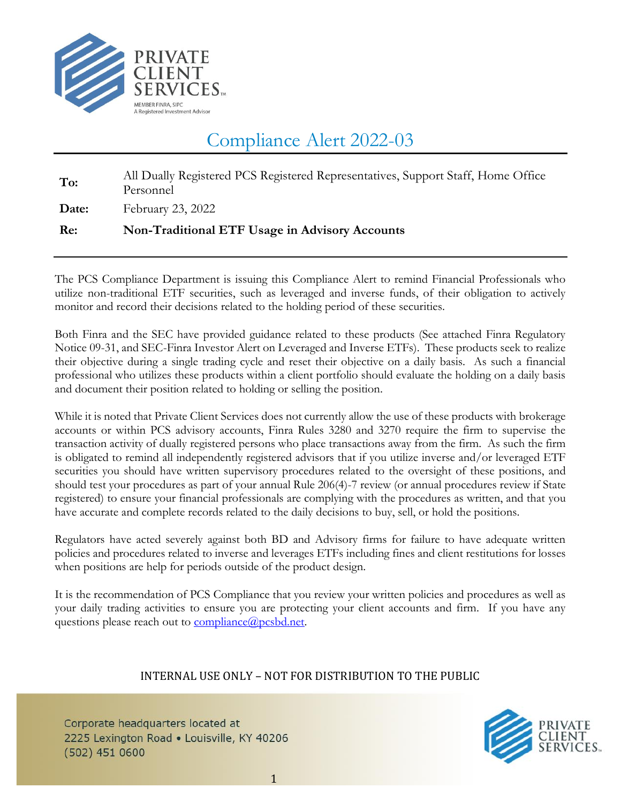

## Compliance Alert 2022-03

| Date:<br>February 23, 2022                                                                           |  |
|------------------------------------------------------------------------------------------------------|--|
| All Dually Registered PCS Registered Representatives, Support Staff, Home Office<br>To:<br>Personnel |  |

The PCS Compliance Department is issuing this Compliance Alert to remind Financial Professionals who utilize non-traditional ETF securities, such as leveraged and inverse funds, of their obligation to actively monitor and record their decisions related to the holding period of these securities.

Both Finra and the SEC have provided guidance related to these products (See attached Finra Regulatory Notice 09-31, and SEC-Finra Investor Alert on Leveraged and Inverse ETFs). These products seek to realize their objective during a single trading cycle and reset their objective on a daily basis. As such a financial professional who utilizes these products within a client portfolio should evaluate the holding on a daily basis and document their position related to holding or selling the position.

While it is noted that Private Client Services does not currently allow the use of these products with brokerage accounts or within PCS advisory accounts, Finra Rules 3280 and 3270 require the firm to supervise the transaction activity of dually registered persons who place transactions away from the firm. As such the firm is obligated to remind all independently registered advisors that if you utilize inverse and/or leveraged ETF securities you should have written supervisory procedures related to the oversight of these positions, and should test your procedures as part of your annual Rule 206(4)-7 review (or annual procedures review if State registered) to ensure your financial professionals are complying with the procedures as written, and that you have accurate and complete records related to the daily decisions to buy, sell, or hold the positions.

Regulators have acted severely against both BD and Advisory firms for failure to have adequate written policies and procedures related to inverse and leverages ETFs including fines and client restitutions for losses when positions are help for periods outside of the product design.

It is the recommendation of PCS Compliance that you review your written policies and procedures as well as your daily trading activities to ensure you are protecting your client accounts and firm. If you have any questions please reach out to **compliance**@pcsbd.net.

#### INTERNAL USE ONLY – NOT FOR DISTRIBUTION TO THE PUBLIC

Corporate headquarters located at 2225 Lexington Road . Louisville, KY 40206  $(502)$  451 0600

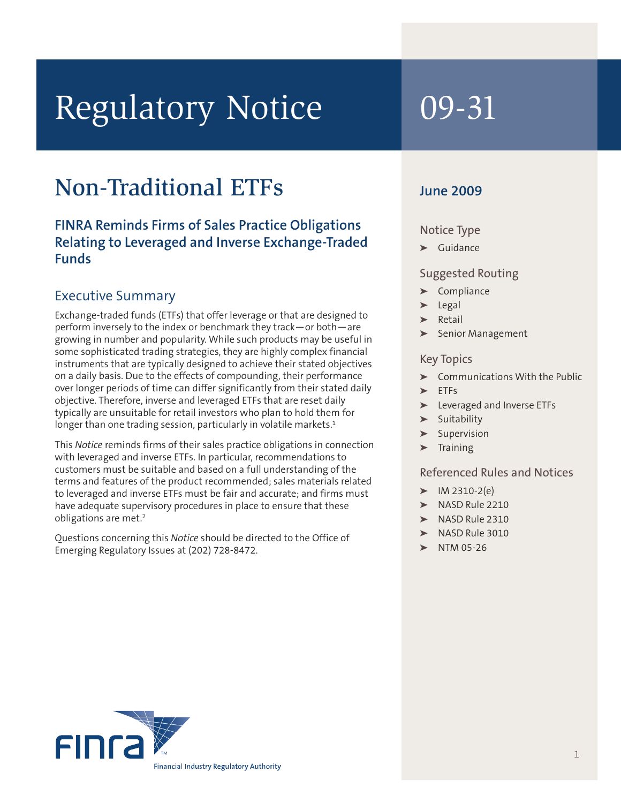# Regulatory Notice 09-31

## Non-Traditional ETFs

**FINRA Reminds Firms of Sales Practice Obligations Relating to Leveraged and Inverse Exchange-Traded Funds**

#### Executive Summary

Exchange-traded funds (ETFs) that offer leverage or that are designed to perform inversely to the index or benchmark they track—or both—are growing in number and popularity. While such products may be useful in some sophisticated trading strategies, they are highly complex financial instruments that are typically designed to achieve their stated objectives on a daily basis. Due to the effects of compounding, their performance over longer periods of time can differ significantly from their stated daily objective. Therefore, inverse and leveraged ETFs that are reset daily typically are unsuitable for retail investors who plan to hold them for longer than one trading session, particularly in volatile markets. 1

This *Notice* reminds firms of their sales practice obligations in connection with leveraged and inverse ETFs. In particular, recommendations to customers must be suitable and based on a full understanding of the terms and features of the product recommended; sales materials related to leveraged and inverse ETFs must be fair and accurate; and firms must have adequate supervisory procedures in place to ensure that these obligations are met. 2

Questions concerning this *Notice* should be directed to the Office of Emerging Regulatory Issues at (202) 728-8472.

#### **June 2009**

#### Notice Type

**➤** Guidance

#### Suggested Routing

- **➤** Compliance
- **➤** Legal
- **➤** Retail
- **➤** Senior Management

#### Key Topics

- **➤** Communications With the Public
- **➤** ETFs
- **➤** Leveraged and Inverse ETFs
- **➤** Suitability
- **➤** Supervision
- **➤** Training

#### Referenced Rules and Notices

- **➤** IM 2310-2(e)
- **➤** NASD Rule 2210
- **➤** NASD Rule 2310
- **➤** NASD Rule 3010
- **➤** NTM 05-26

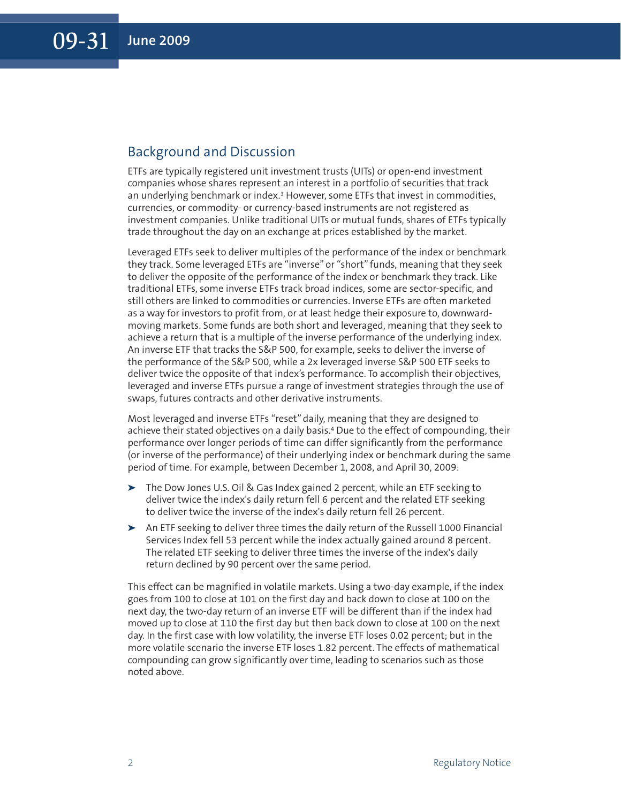#### Background and Discussion

ETFs are typically registered unit investment trusts (UITs) or open-end investment companies whose shares represent an interest in a portfolio of securities that track an underlying benchmark or index. <sup>3</sup> However, some ETFs that invest in commodities, currencies, or commodity- or currency-based instruments are not registered as investment companies. Unlike traditional UITs or mutual funds, shares of ETFs typically trade throughout the day on an exchange at prices established by the market.

Leveraged ETFs seek to deliver multiples of the performance of the index or benchmark they track. Some leveraged ETFs are "inverse" or "short" funds, meaning that they seek to deliver the opposite of the performance of the index or benchmark they track. Like traditional ETFs, some inverse ETFs track broad indices, some are sector-specific, and still others are linked to commodities or currencies. Inverse ETFs are often marketed as a way for investors to profit from, or at least hedge their exposure to, downwardmoving markets. Some funds are both short and leveraged, meaning that they seek to achieve a return that is a multiple of the inverse performance of the underlying index. An inverse ETF that tracks the S&P 500, for example, seeks to deliver the inverse of the performance of the S&P 500, while a 2x leveraged inverse S&P 500 ETF seeks to deliver twice the opposite of that index's performance. To accomplish their objectives, leveraged and inverse ETFs pursue a range of investment strategies through the use of swaps, futures contracts and other derivative instruments.

Most leveraged and inverse ETFs "reset" daily, meaning that they are designed to achieve their stated objectives on a daily basis. <sup>4</sup> Due to the effect of compounding, their performance over longer periods of time can differ significantly from the performance (or inverse of the performance) of their underlying index or benchmark during the same period of time. For example, between December 1, 2008, and April 30, 2009:

- **➤** The Dow Jones U.S. Oil & Gas Index gained 2 percent, while an ETF seeking to deliver twice the index's daily return fell 6 percent and the related ETF seeking to deliver twice the inverse of the index's daily return fell 26 percent.
- **➤** An ETF seeking to deliver three times the daily return of the Russell 1000 Financial Services Index fell 53 percent while the index actually gained around 8 percent. The related ETF seeking to deliver three times the inverse of the index's daily return declined by 90 percent over the same period.

This effect can be magnified in volatile markets. Using a two-day example, if the index goes from 100 to close at 101 on the first day and back down to close at 100 on the next day, the two-day return of an inverse ETF will be different than if the index had moved up to close at 110 the first day but then back down to close at 100 on the next day. In the first case with low volatility, the inverse ETF loses 0.02 percent; but in the more volatile scenario the inverse ETF loses 1.82 percent. The effects of mathematical compounding can grow significantly over time, leading to scenarios such as those noted above.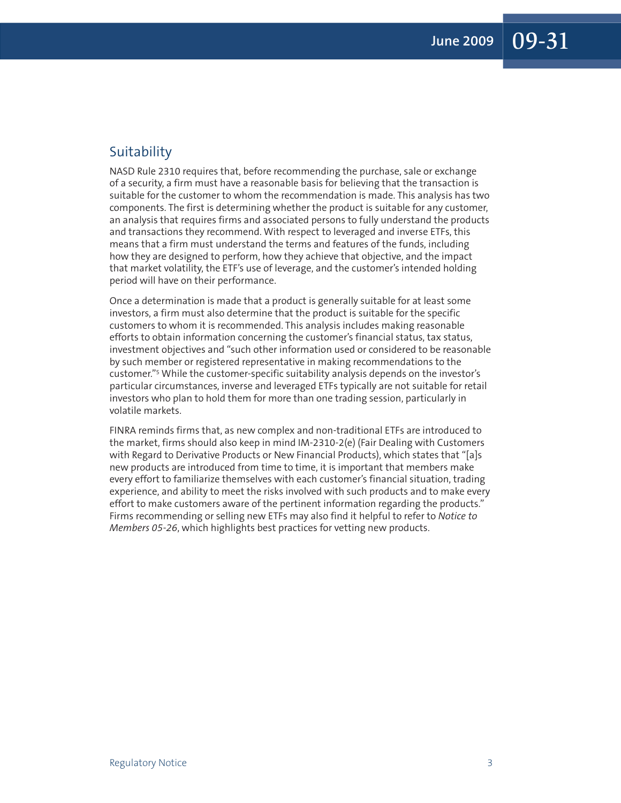#### Suitability

NASD Rule 2310 requires that, before recommending the purchase, sale or exchange of a security, a firm must have a reasonable basis for believing that the transaction is suitable for the customer to whom the recommendation is made. This analysis has two components. The first is determining whether the product is suitable for any customer, an analysis that requires firms and associated persons to fully understand the products and transactions they recommend. With respect to leveraged and inverse ETFs, this means that a firm must understand the terms and features of the funds, including how they are designed to perform, how they achieve that objective, and the impact that market volatility, the ETF's use of leverage, and the customer's intended holding period will have on their performance.

Once a determination is made that a product is generally suitable for at least some investors, a firm must also determine that the product is suitable for the specific customers to whom it is recommended. This analysis includes making reasonable efforts to obtain information concerning the customer's financial status, tax status, investment objectives and "such other information used or considered to be reasonable by such member or registered representative in making recommendations to the customer."5 While the customer-specific suitability analysis depends on the investor's particular circumstances, inverse and leveraged ETFs typically are not suitable for retail investors who plan to hold them for more than one trading session, particularly in volatile markets.

FINRA reminds firms that, as new complex and non-traditional ETFs are introduced to the market, firms should also keep in mind IM-2310-2(e) (Fair Dealing with Customers with Regard to Derivative Products or New Financial Products), which states that "[a]s new products are introduced from time to time, it is important that members make every effort to familiarize themselves with each customer's financial situation, trading experience, and ability to meet the risks involved with such products and to make every effort to make customers aware of the pertinent information regarding the products." Firms recommending or selling new ETFs may also find it helpful to refer to *Notice to Members 05-26*, which highlights best practices for vetting new products.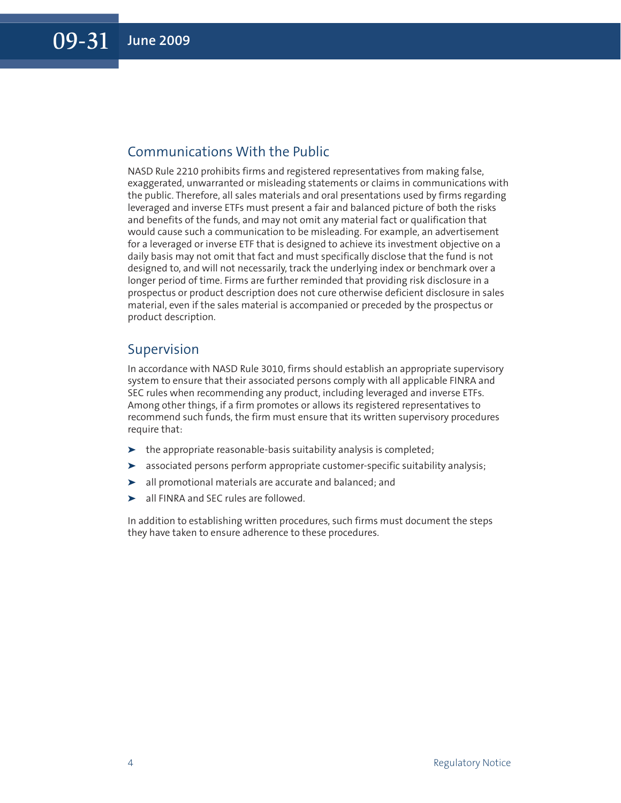#### Communications With the Public

NASD Rule 2210 prohibits firms and registered representatives from making false, exaggerated, unwarranted or misleading statements or claims in communications with the public. Therefore, all sales materials and oral presentations used by firms regarding leveraged and inverse ETFs must present a fair and balanced picture of both the risks and benefits of the funds, and may not omit any material fact or qualification that would cause such a communication to be misleading. For example, an advertisement for a leveraged or inverse ETF that is designed to achieve its investment objective on a daily basis may not omit that fact and must specifically disclose that the fund is not designed to, and will not necessarily, track the underlying index or benchmark over a longer period of time. Firms are further reminded that providing risk disclosure in a prospectus or product description does not cure otherwise deficient disclosure in sales material, even if the sales material is accompanied or preceded by the prospectus or product description.

#### Supervision

In accordance with NASD Rule 3010, firms should establish an appropriate supervisory system to ensure that their associated persons comply with all applicable FINRA and SEC rules when recommending any product, including leveraged and inverse ETFs. Among other things, if a firm promotes or allows its registered representatives to recommend such funds, the firm must ensure that its written supervisory procedures require that:

- **➤** the appropriate reasonable-basis suitability analysis is completed;
- **➤** associated persons perform appropriate customer-specific suitability analysis;
- **➤** all promotional materials are accurate and balanced; and
- **➤** all FINRA and SEC rules are followed.

In addition to establishing written procedures, such firms must document the steps they have taken to ensure adherence to these procedures.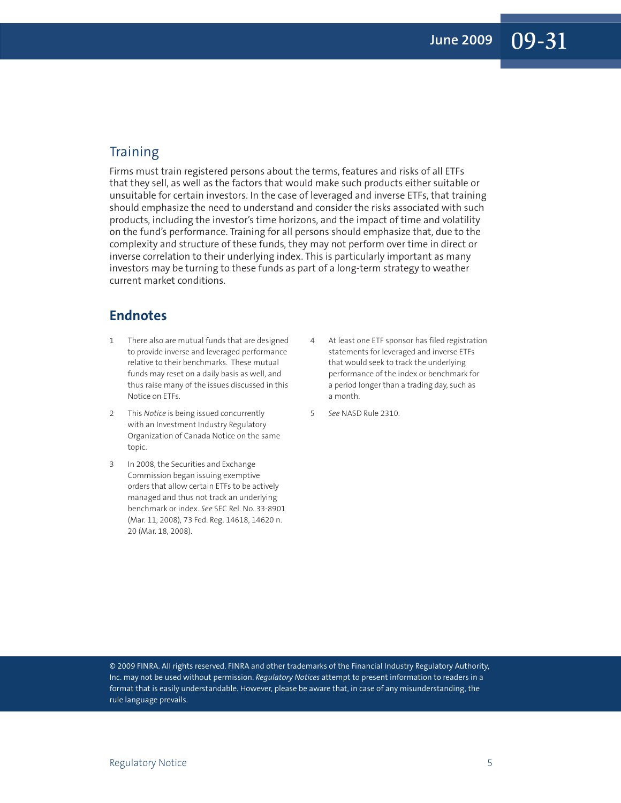### **Training**

Firms must train registered persons about the terms, features and risks of all ETFs that they sell, as well as the factors that would make such products either suitable or unsuitable for certain investors. In the case of leveraged and inverse ETFs, that training should emphasize the need to understand and consider the risks associated with such products, including the investor's time horizons, and the impact of time and volatility on the fund's performance. Training for all persons should emphasize that, due to the complexity and structure of these funds, they may not perform over time in direct or inverse correlation to their underlying index. This is particularly important as many investors may be turning to these funds as part of a long-term strategy to weather current market conditions.

#### **Endnotes**

- 1 There also are mutual funds that are designed to provide inverse and leveraged performance relative to their benchmarks. These mutual funds may reset on a daily basis as well, and thus raise many of the issues discussed in this Notice on ETFs.
- 2 This *Notice* is being issued concurrently with an Investment Industry Regulatory Organization of Canada Notice on the same topic.
- 3 In 2008, the Securities and Exchange Commission began issuing exemptive orders that allow certain ETFs to be actively managed and thus not track an underlying benchmark or index. *See* SEC Rel. No. 33-8901 (Mar. 11, 2008), 73 Fed. Reg. 14618, 14620 n. 20 (Mar. 18, 2008).
- 4 At least one ETF sponsor has filed registration statements for leveraged and inverse ETFs that would seek to track the underlying performance of the index or benchmark for a period longer than a trading day, such as a month.
- 5 *See* NASD Rule 2310.

© 2009 FINRA. All rights reserved. FINRA and other trademarks of the Financial Industry Regulatory Authority, Inc. may not be used without permission. *Regulatory Notices* attempt to present information to readers in a format that is easily understandable. However, please be aware that, in case of any misunderstanding, the rule language prevails.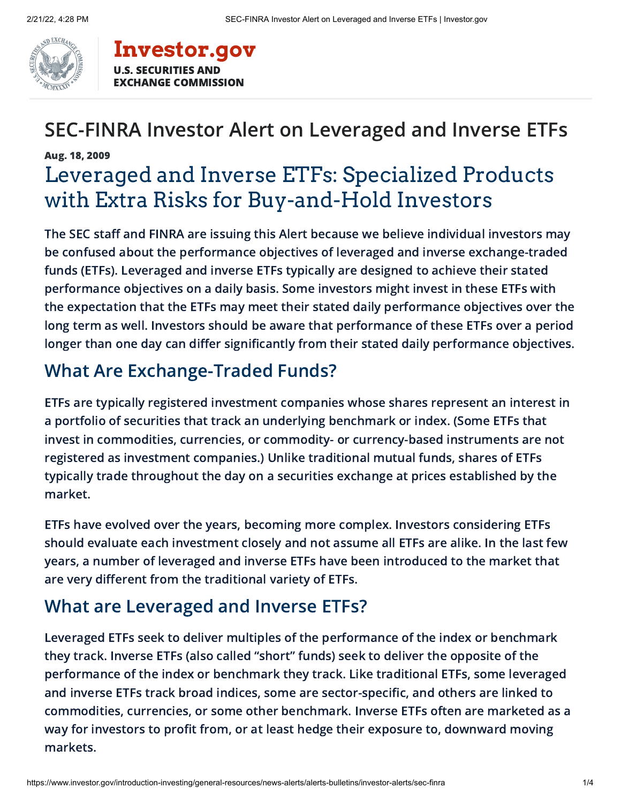

#### **[Investor.gov](https://www.investor.gov/)** U.S. SECURITIES AND EXCHANGE COMMISSION

## SEC-FINRA Investor Alert on Leveraged and Inverse ETFs

## Aug. 18, 2009 Leveraged and Inverse ETFs: Specialized Products with Extra Risks for Buy-and-Hold Investors

The SEC staff and FINRA are issuing this Alert because we believe individual investors may be confused about the performance objectives of leveraged and inverse exchange-traded funds (ETFs). Leveraged and inverse ETFs typically are designed to achieve their stated performance objectives on a daily basis. Some investors might invest in these ETFs with the expectation that the ETFs may meet their stated daily performance objectives over the long term as well. Investors should be aware that performance of these ETFs over a period longer than one day can differ significantly from their stated daily performance objectives.

## What Are Exchange-Traded Funds?

ETFs are typically registered investment companies whose shares represent an interest in a portfolio of securities that track an underlying benchmark or index. (Some ETFs that invest in commodities, currencies, or commodity- or currency-based instruments are not registered as investment companies.) Unlike traditional mutual funds, shares of ETFs typically trade throughout the day on a securities exchange at prices established by the market.

ETFs have evolved over the years, becoming more complex. Investors considering ETFs should evaluate each investment closely and not assume all ETFs are alike. In the last few years, a number of leveraged and inverse ETFs have been introduced to the market that are very different from the traditional variety of ETFs.

## What are Leveraged and Inverse ETFs?

Leveraged ETFs seek to deliver multiples of the performance of the index or benchmark they track. Inverse ETFs (also called "short" funds) seek to deliver the opposite of the performance of the index or benchmark they track. Like traditional ETFs, some leveraged and inverse ETFs track broad indices, some are sector-specific, and others are linked to commodities, currencies, or some other benchmark. Inverse ETFs often are marketed as a way for investors to profit from, or at least hedge their exposure to, downward moving markets.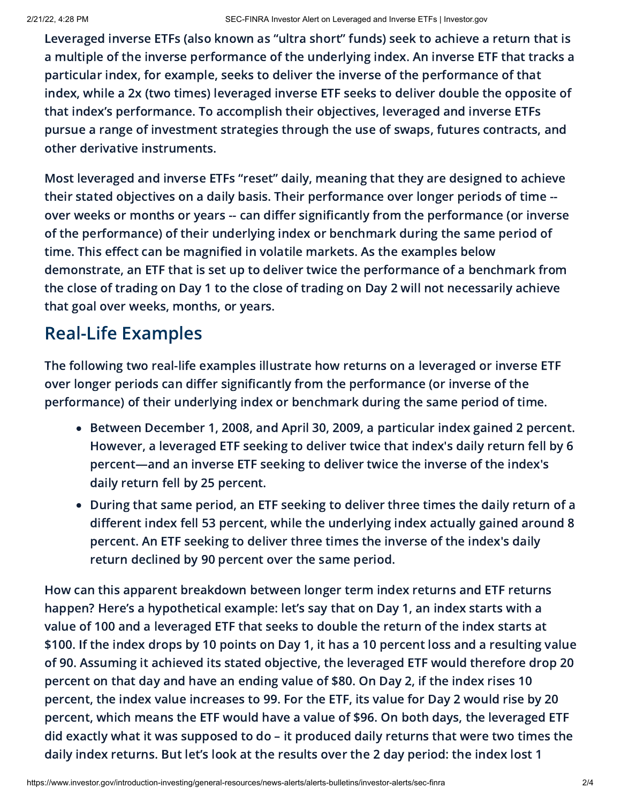Leveraged inverse ETFs (also known as "ultra short" funds) seek to achieve a return that is a multiple of the inverse performance of the underlying index. An inverse ETF that tracks a particular index, for example, seeks to deliver the inverse of the performance of that index, while a 2x (two times) leveraged inverse ETF seeks to deliver double the opposite of that index's performance. To accomplish their objectives, leveraged and inverse ETFs pursue a range of investment strategies through the use of swaps, futures contracts, and other derivative instruments.

Most leveraged and inverse ETFs "reset" daily, meaning that they are designed to achieve their stated objectives on a daily basis. Their performance over longer periods of time - over weeks or months or years -- can differ significantly from the performance (or inverse of the performance) of their underlying index or benchmark during the same period of time. This effect can be magnified in volatile markets. As the examples below demonstrate, an ETF that is set up to deliver twice the performance of a benchmark from the close of trading on Day 1 to the close of trading on Day 2 will not necessarily achieve that goal over weeks, months, or years.

## Real-Life Examples

The following two real-life examples illustrate how returns on a leveraged or inverse ETF over longer periods can differ significantly from the performance (or inverse of the performance) of their underlying index or benchmark during the same period of time.

- Between December 1, 2008, and April 30, 2009, a particular index gained 2 percent. However, a leveraged ETF seeking to deliver twice that index's daily return fell by 6 percent—and an inverse ETF seeking to deliver twice the inverse of the index's daily return fell by 25 percent.
- During that same period, an ETF seeking to deliver three times the daily return of a different index fell 53 percent, while the underlying index actually gained around 8 percent. An ETF seeking to deliver three times the inverse of the index's daily return declined by 90 percent over the same period.

How can this apparent breakdown between longer term index returns and ETF returns happen? Here's a hypothetical example: let's say that on Day 1, an index starts with a value of 100 and a leveraged ETF that seeks to double the return of the index starts at \$100. If the index drops by 10 points on Day 1, it has a 10 percent loss and a resulting value of 90. Assuming it achieved its stated objective, the leveraged ETF would therefore drop 20 percent on that day and have an ending value of \$80. On Day 2, if the index rises 10 percent, the index value increases to 99. For the ETF, its value for Day 2 would rise by 20 percent, which means the ETF would have a value of \$96. On both days, the leveraged ETF did exactly what it was supposed to do – it produced daily returns that were two times the daily index returns. But let's look at the results over the 2 day period: the index lost 1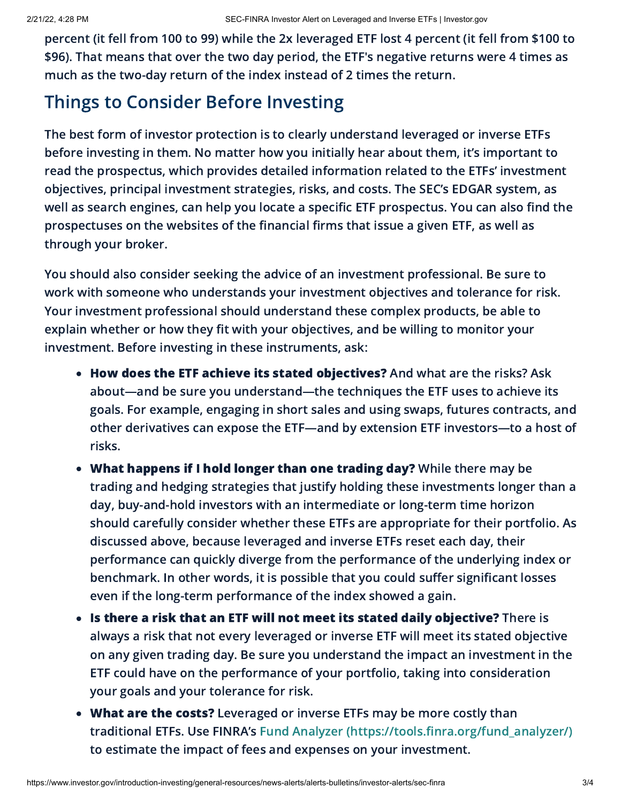percent (it fell from 100 to 99) while the 2x leveraged ETF lost 4 percent (it fell from \$100 to \$96). That means that over the two day period, the ETF's negative returns were 4 times as much as the two-day return of the index instead of 2 times the return.

## Things to Consider Before Investing

The best form of investor protection is to clearly understand leveraged or inverse ETFs before investing in them. No matter how you initially hear about them, it's important to read the prospectus, which provides detailed information related to the ETFs' investment objectives, principal investment strategies, risks, and costs. The SEC's EDGAR system, as well as search engines, can help you locate a specific ETF prospectus. You can also find the prospectuses on the websites of the financial firms that issue a given ETF, as well as through your broker.

You should also consider seeking the advice of an investment professional. Be sure to work with someone who understands your investment objectives and tolerance for risk. Your investment professional should understand these complex products, be able to explain whether or how they fit with your objectives, and be willing to monitor your investment. Before investing in these instruments, ask:

- How does the ETF achieve its stated objectives? And what are the risks? Ask about—and be sure you understand—the techniques the ETF uses to achieve its goals. For example, engaging in short sales and using swaps, futures contracts, and other derivatives can expose the ETF—and by extension ETF investors—to a host of risks.
- What happens if I hold longer than one trading day? While there may be trading and hedging strategies that justify holding these investments longer than a day, buy-and-hold investors with an intermediate or long-term time horizon should carefully consider whether these ETFs are appropriate for their portfolio. As discussed above, because leveraged and inverse ETFs reset each day, their performance can quickly diverge from the performance of the underlying index or benchmark. In other words, it is possible that you could suffer significant losses even if the long-term performance of the index showed a gain.
- Is there a risk that an ETF will not meet its stated daily objective? There is always a risk that not every leveraged or inverse ETF will meet its stated objective on any given trading day. Be sure you understand the impact an investment in the ETF could have on the performance of your portfolio, taking into consideration your goals and your tolerance for risk.
- What are the costs? Leveraged or inverse ETFs may be more costly than traditional ETFs. Use FINRA's Fund Analyzer [\(https://tools.finra.org/fund\\_analyzer/\)](https://tools.finra.org/fund_analyzer/) to estimate the impact of fees and expenses on your investment.